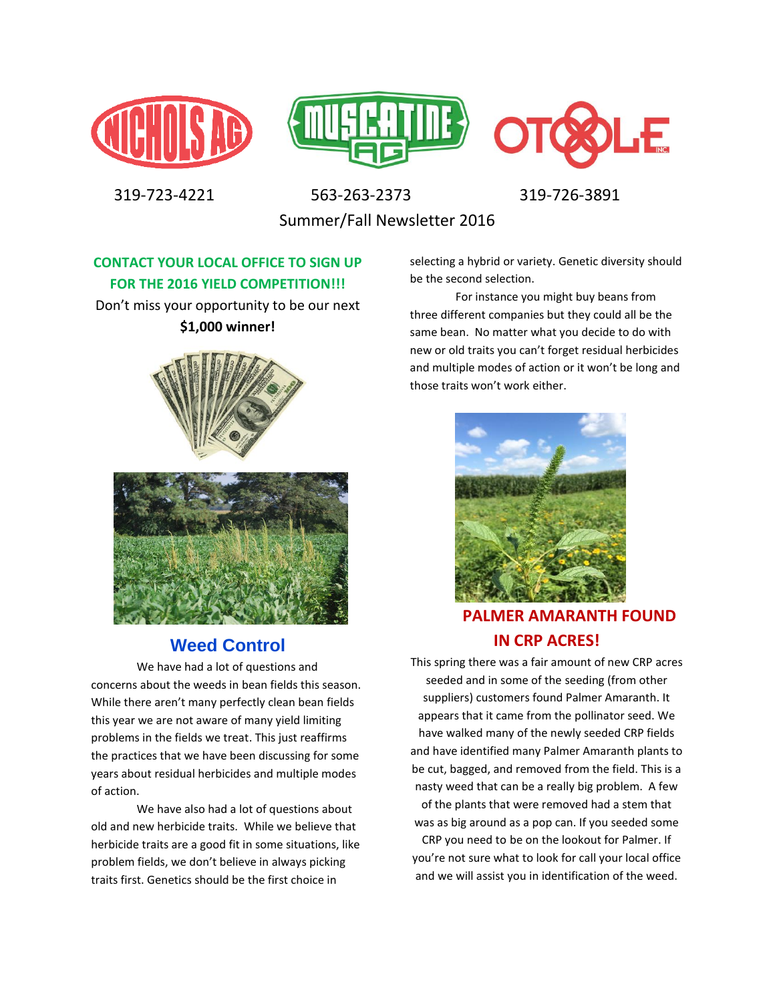





 319-723-4221 563-263-2373 319-726-3891 Summer/Fall Newsletter 2016

**CONTACT YOUR LOCAL OFFICE TO SIGN UP FOR THE 2016 YIELD COMPETITION!!!**

Don't miss your opportunity to be our next **\$1,000 winner!**





## **Weed Control**

We have had a lot of questions and concerns about the weeds in bean fields this season. While there aren't many perfectly clean bean fields this year we are not aware of many yield limiting problems in the fields we treat. This just reaffirms the practices that we have been discussing for some years about residual herbicides and multiple modes of action.

We have also had a lot of questions about old and new herbicide traits. While we believe that herbicide traits are a good fit in some situations, like problem fields, we don't believe in always picking traits first. Genetics should be the first choice in

selecting a hybrid or variety. Genetic diversity should be the second selection.

For instance you might buy beans from three different companies but they could all be the same bean. No matter what you decide to do with new or old traits you can't forget residual herbicides and multiple modes of action or it won't be long and those traits won't work either.



**PALMER AMARANTH FOUND IN CRP ACRES!**

This spring there was a fair amount of new CRP acres seeded and in some of the seeding (from other suppliers) customers found Palmer Amaranth. It appears that it came from the pollinator seed. We have walked many of the newly seeded CRP fields and have identified many Palmer Amaranth plants to be cut, bagged, and removed from the field. This is a nasty weed that can be a really big problem. A few of the plants that were removed had a stem that was as big around as a pop can. If you seeded some CRP you need to be on the lookout for Palmer. If you're not sure what to look for call your local office

and we will assist you in identification of the weed.